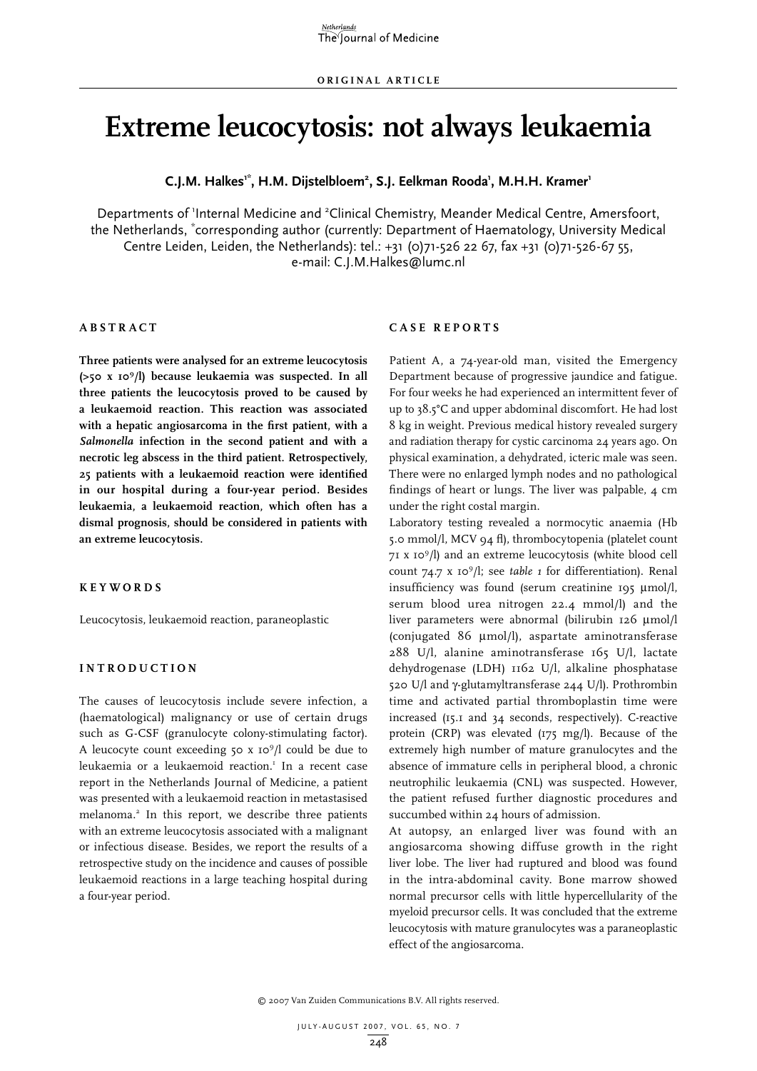# **Extreme leucocytosis: not always leukaemia**

**C.J.M. Halkes'\*, H.M. Dijstelbloem<sup>2</sup>, S.J. Eelkman Rooda', M.H.H. Kramer'** 

Departments of 'Internal Medicine and <sup>2</sup>Clinical Chemistry, Meander Medical Centre, Amersfoort, the Netherlands, \* corresponding author (currently: Department of Haematology, University Medical Centre Leiden, Leiden, the Netherlands): tel.: +31 (0)71-526 22 67, fax +31 (0)71-526-67 55, e-mail: C.J.M.Halkes@lumc.nl

#### **Abs t r act**

**Three patients were analysed for an extreme leucocytosis (>50 x 109 /l) because leukaemia was suspected. In all three patients the leucocytosis proved to be caused by a leukaemoid reaction. This reaction was associated with a hepatic angiosarcoma in the first patient, with a**  *Salmonella* **infection in the second patient and with a necrotic leg abscess in the third patient. Retrospectively, 25 patients with a leukaemoid reaction were identified in our hospital during a four-year period. Besides leukaemia, a leukaemoid reaction, which often has a dismal prognosis, should be considered in patients with an extreme leucocytosis.**

#### **KEYWORDS**

Leucocytosis, leukaemoid reaction, paraneoplastic

#### **Int rod uct i o n**

The causes of leucocytosis include severe infection, a (haematological) malignancy or use of certain drugs such as G-CSF (granulocyte colony-stimulating factor). A leucocyte count exceeding 50  $x$  10<sup>9</sup>/l could be due to leukaemia or a leukaemoid reaction.<sup>1</sup> In a recent case report in the Netherlands Journal of Medicine, a patient was presented with a leukaemoid reaction in metastasised melanoma.2 In this report, we describe three patients with an extreme leucocytosis associated with a malignant or infectious disease. Besides, we report the results of a retrospective study on the incidence and causes of possible leukaemoid reactions in a large teaching hospital during a four-year period.

#### **C a s e r ep o r t s**

Patient A, a 74-year-old man, visited the Emergency Department because of progressive jaundice and fatigue. For four weeks he had experienced an intermittent fever of up to 38.5°C and upper abdominal discomfort. He had lost 8 kg in weight. Previous medical history revealed surgery and radiation therapy for cystic carcinoma 24 years ago. On physical examination, a dehydrated, icteric male was seen. There were no enlarged lymph nodes and no pathological findings of heart or lungs. The liver was palpable, 4 cm under the right costal margin.

Laboratory testing revealed a normocytic anaemia (Hb 5.0 mmol/l, MCV 94 fl), thrombocytopenia (platelet count 71 x 109 /l) and an extreme leucocytosis (white blood cell count 74.7 x 109 /l; see *table 1* for differentiation). Renal insufficiency was found (serum creatinine 195 μmol/l, serum blood urea nitrogen 22.4 mmol/l) and the liver parameters were abnormal (bilirubin 126 μmol/l (conjugated 86 μmol/l), aspartate aminotransferase 288 U/l, alanine aminotransferase 165 U/l, lactate dehydrogenase (LDH) 1162 U/l, alkaline phosphatase 520 U/l and γ-glutamyltransferase 244 U/l). Prothrombin time and activated partial thromboplastin time were increased (15.1 and 34 seconds, respectively). C-reactive protein (CRP) was elevated (175 mg/l). Because of the extremely high number of mature granulocytes and the absence of immature cells in peripheral blood, a chronic neutrophilic leukaemia (CNL) was suspected. However, the patient refused further diagnostic procedures and succumbed within 24 hours of admission.

At autopsy, an enlarged liver was found with an angiosarcoma showing diffuse growth in the right liver lobe. The liver had ruptured and blood was found in the intra-abdominal cavity. Bone marrow showed normal precursor cells with little hypercellularity of the myeloid precursor cells. It was concluded that the extreme leucocytosis with mature granulocytes was a paraneoplastic effect of the angiosarcoma.

© 2007 Van Zuiden Communications B.V. All rights reserved.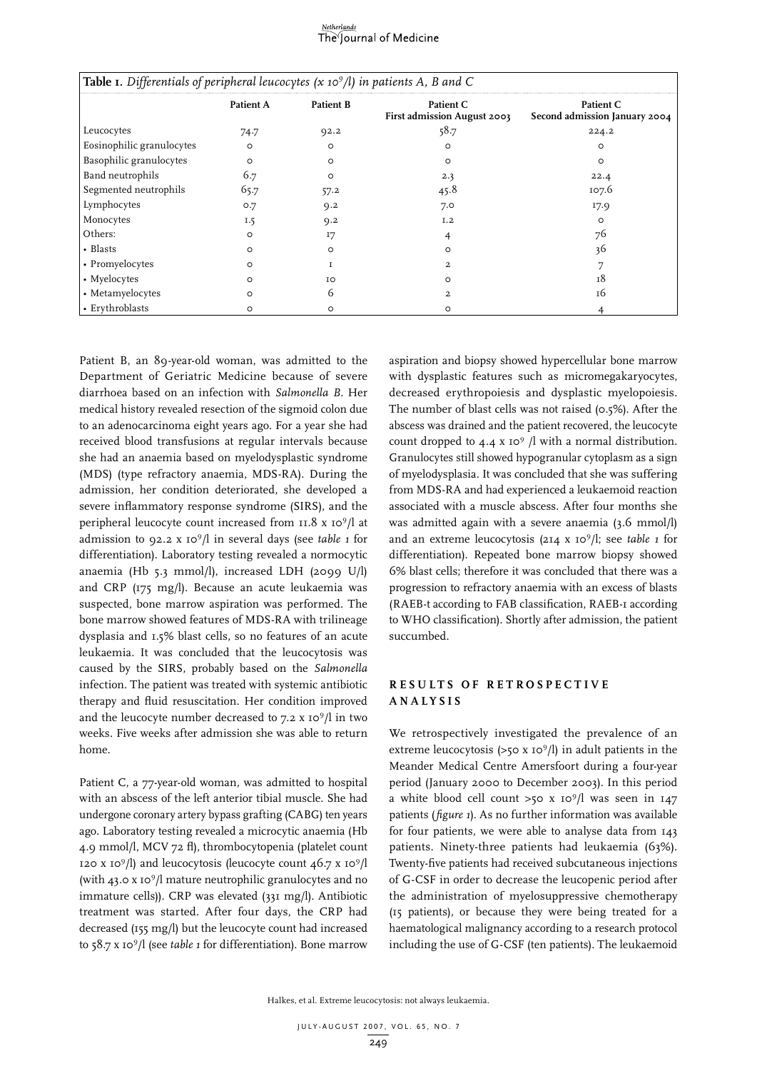# Netherlands<br>The Journal of Medicine

| <b>Table 1.</b> Differentials of peripheral leucocytes $(x 10^9/l)$ in patients A, B and C |                  |                  |                                          |                                            |  |  |
|--------------------------------------------------------------------------------------------|------------------|------------------|------------------------------------------|--------------------------------------------|--|--|
|                                                                                            | <b>Patient A</b> | <b>Patient B</b> | Patient C<br>First admission August 2003 | Patient C<br>Second admission January 2004 |  |  |
| Leucocytes                                                                                 | 74.7             | 92.2             | 58.7                                     | 224.2                                      |  |  |
| Eosinophilic granulocytes                                                                  | $\circ$          | $\circ$          | $\circ$                                  | $\circ$                                    |  |  |
| Basophilic granulocytes                                                                    | $\circ$          | $\circ$          | $\circ$                                  | $\circ$                                    |  |  |
| Band neutrophils                                                                           | 6.7              | $\circ$          | 2.3                                      | 22.4                                       |  |  |
| Segmented neutrophils                                                                      | 65.7             | 57.2             | 45.8                                     | 107.6                                      |  |  |
| Lymphocytes                                                                                | O.7              | Q.2              | 7.0                                      | 17.9                                       |  |  |
| Monocytes                                                                                  | 1.5              | 9.2              | I.2                                      | O                                          |  |  |
| Others:                                                                                    | $\circ$          | 17               |                                          | 76                                         |  |  |
| • Blasts                                                                                   | $\circ$          | $\circ$          | O                                        | 36                                         |  |  |
| • Promyelocytes                                                                            | $\circ$          |                  | 2                                        |                                            |  |  |
| • Myelocytes                                                                               | $\circ$          | IO               | O                                        | 18                                         |  |  |
| • Metamyelocytes                                                                           | $\circ$          | 6                | 2.                                       | 16                                         |  |  |
| • Erythroblasts                                                                            | $\circ$          | ∩                | O                                        |                                            |  |  |

Patient B, an 89-year-old woman, was admitted to the Department of Geriatric Medicine because of severe diarrhoea based on an infection with *Salmonella B*. Her medical history revealed resection of the sigmoid colon due to an adenocarcinoma eight years ago. For a year she had received blood transfusions at regular intervals because she had an anaemia based on myelodysplastic syndrome (MDS) (type refractory anaemia, MDS-RA). During the admission, her condition deteriorated, she developed a severe inflammatory response syndrome (SIRS), and the peripheral leucocyte count increased from 11.8 x 10<sup>9</sup>/l at admission to 92.2 x 109 /l in several days (see *table 1* for differentiation). Laboratory testing revealed a normocytic anaemia (Hb 5.3 mmol/l), increased LDH (2099 U/l) and CRP (175 mg/l). Because an acute leukaemia was suspected, bone marrow aspiration was performed. The bone marrow showed features of MDS-RA with trilineage dysplasia and 1.5% blast cells, so no features of an acute leukaemia. It was concluded that the leucocytosis was caused by the SIRS, probably based on the *Salmonella* infection. The patient was treated with systemic antibiotic therapy and fluid resuscitation. Her condition improved and the leucocyte number decreased to 7.2 x 109 /l in two weeks. Five weeks after admission she was able to return home.

Patient C, a 77-year-old woman, was admitted to hospital with an abscess of the left anterior tibial muscle. She had undergone coronary artery bypass grafting (CABG) ten years ago. Laboratory testing revealed a microcytic anaemia (Hb 4.9 mmol/l, MCV 72 fl), thrombocytopenia (platelet count 120 x 10<sup>9</sup>/l) and leucocytosis (leucocyte count  $46.7$  x 10<sup>9</sup>/l (with 43.0 x 10<sup>9</sup>/l mature neutrophilic granulocytes and no immature cells)). CRP was elevated (331 mg/l). Antibiotic treatment was started. After four days, the CRP had decreased (155 mg/l) but the leucocyte count had increased to 58.7 x 109 /l (see *table 1* for differentiation). Bone marrow aspiration and biopsy showed hypercellular bone marrow with dysplastic features such as micromegakaryocytes, decreased erythropoiesis and dysplastic myelopoiesis. The number of blast cells was not raised (0.5%). After the abscess was drained and the patient recovered, the leucocyte count dropped to 4.4 x 10<sup>9</sup> /l with a normal distribution. Granulocytes still showed hypogranular cytoplasm as a sign of myelodysplasia. It was concluded that she was suffering from MDS-RA and had experienced a leukaemoid reaction associated with a muscle abscess. After four months she was admitted again with a severe anaemia (3.6 mmol/l) and an extreme leucocytosis (214 x 10<sup>9</sup>/l; see *table 1* for differentiation). Repeated bone marrow biopsy showed 6% blast cells; therefore it was concluded that there was a progression to refractory anaemia with an excess of blasts (RAEB-t according to FAB classification, RAEB-1 according to WHO classification). Shortly after admission, the patient succumbed.

## **Re s u l t s of r et ros pect i ve ana l y sis**

We retrospectively investigated the prevalence of an extreme leucocytosis  $(>50 \times 10^9/l)$  in adult patients in the Meander Medical Centre Amersfoort during a four-year period (January 2000 to December 2003). In this period a white blood cell count  $>50$  x  $10^9/1$  was seen in  $147$ patients (*figure 1*). As no further information was available for four patients, we were able to analyse data from 143 patients. Ninety-three patients had leukaemia (63%). Twenty-five patients had received subcutaneous injections of G-CSF in order to decrease the leucopenic period after the administration of myelosuppressive chemotherapy (15 patients), or because they were being treated for a haematological malignancy according to a research protocol including the use of G-CSF (ten patients). The leukaemoid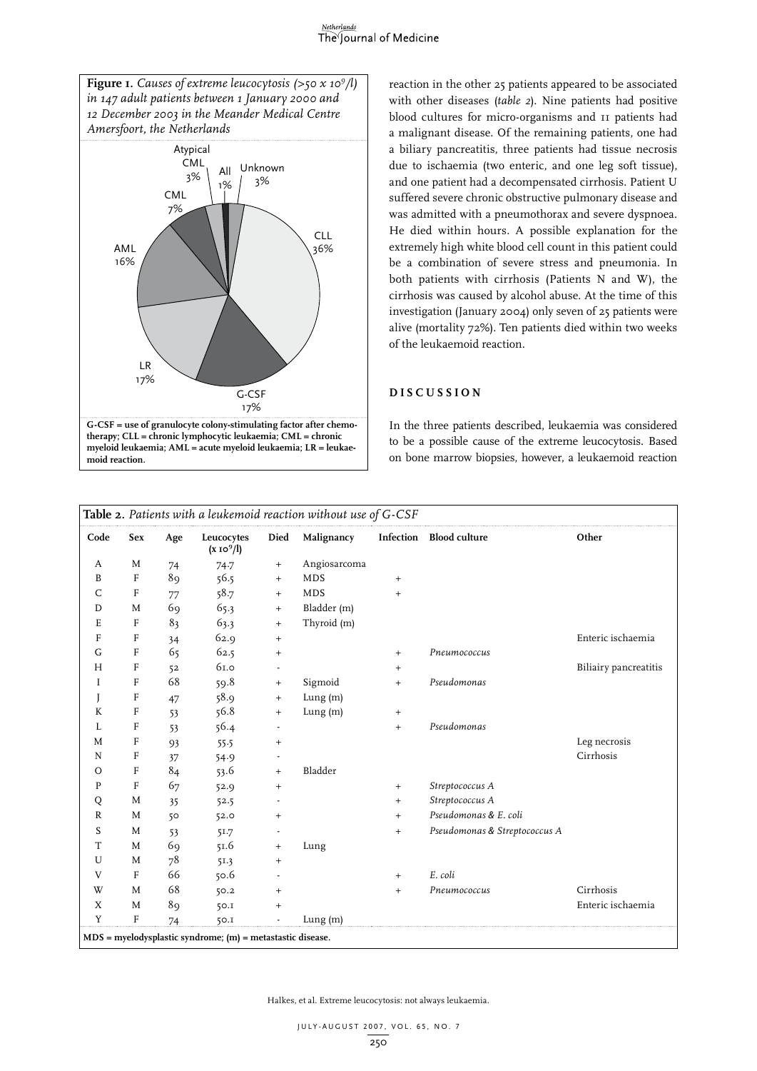#### Netherlands The Journal of Medicine



reaction in the other 25 patients appeared to be associated with other diseases (*table 2*). Nine patients had positive blood cultures for micro-organisms and 11 patients had a malignant disease. Of the remaining patients, one had a biliary pancreatitis, three patients had tissue necrosis due to ischaemia (two enteric, and one leg soft tissue), and one patient had a decompensated cirrhosis. Patient U suffered severe chronic obstructive pulmonary disease and was admitted with a pneumothorax and severe dyspnoea. He died within hours. A possible explanation for the extremely high white blood cell count in this patient could be a combination of severe stress and pneumonia. In both patients with cirrhosis (Patients N and W), the cirrhosis was caused by alcohol abuse. At the time of this investigation (January 2004) only seven of 25 patients were alive (mortality 72%). Ten patients died within two weeks of the leukaemoid reaction.

#### **D i s cu ssio n**

In the three patients described, leukaemia was considered to be a possible cause of the extreme leucocytosis. Based on bone marrow biopsies, however, a leukaemoid reaction

|              | Table 2. Patients with a leukemoid reaction without use of G-CSF |     |                                                                 |                   |              |           |                               |                       |
|--------------|------------------------------------------------------------------|-----|-----------------------------------------------------------------|-------------------|--------------|-----------|-------------------------------|-----------------------|
| Code         | Sex                                                              | Age | Leucocytes<br>$(x 10^9/l)$                                      | Died              | Malignancy   |           | Infection Blood culture       | Other                 |
| A            | M                                                                | 74  | 74.7                                                            | $^{+}$            | Angiosarcoma |           |                               |                       |
| B            | $\mathbf{F}$                                                     | 89  | 56.5                                                            | $^{+}$            | MDS          | $+$       |                               |                       |
| C            | $\mathbf{F}$                                                     | 77  | 58.7                                                            | $+$               | <b>MDS</b>   | $+$       |                               |                       |
| D            | M                                                                | 69  | 65.3                                                            | $^{+}$            | Bladder (m)  |           |                               |                       |
| E            | F                                                                | 83  | 63.3                                                            | $\ddot{}$         | Thyroid (m)  |           |                               |                       |
| F            | $\mathbf F$                                                      | 34  | 62.9                                                            | $\qquad \qquad +$ |              |           |                               | Enteric ischaemia     |
| $\mathsf G$  | F                                                                | 65  | 62.5                                                            | $\qquad \qquad +$ |              | $+$       | Pneumococcus                  |                       |
| H            | F                                                                | 52  | 61.0                                                            |                   |              | $+$       |                               | Biliairy pancreatitis |
| I            | F                                                                | 68  | 59.8                                                            | $^{+}$            | Sigmoid      | $+$       | Pseudomonas                   |                       |
|              | F                                                                | 47  | 58.9                                                            | $^{+}$            | Lung $(m)$   |           |                               |                       |
| K            | $\mathbf{F}$                                                     | 53  | 56.8                                                            | $\ddot{}$         | Lung (m)     | $+$       |                               |                       |
| L            | $\mathbf{F}$                                                     | 53  | 56.4                                                            |                   |              | $+$       | Pseudomonas                   |                       |
| M            | $\rm F$                                                          | 93  | 55.5                                                            | $\qquad \qquad +$ |              |           |                               | Leg necrosis          |
| N            | F                                                                | 37  | 54.9                                                            |                   |              |           |                               | Cirrhosis             |
| $\circ$      | F                                                                | 84  | 53.6                                                            | $\ddot{}$         | Bladder      |           |                               |                       |
| P            | F                                                                | 67  | 52.9                                                            | $\qquad \qquad +$ |              | $+$       | Streptococcus A               |                       |
| Q            | M                                                                | 35  | 52.5                                                            |                   |              | $+$       | Streptococcus A               |                       |
| $\mathbb{R}$ | M                                                                | 50  | 52.0                                                            | $\qquad \qquad +$ |              | $+$       | Pseudomonas & E. coli         |                       |
| S            | M                                                                | 53  | 51.7                                                            |                   |              | $+$       | Pseudomonas & Streptococcus A |                       |
| T            | M                                                                | 69  | 51.6                                                            | $\qquad \qquad +$ | Lung         |           |                               |                       |
| U            | M                                                                | 78  | 51.3                                                            | $^{+}$            |              |           |                               |                       |
| V            | $\mathbf{F}$                                                     | 66  | 50.6                                                            |                   |              | $\ddot{}$ | E. coli                       |                       |
| W            | M                                                                | 68  | 50.2                                                            | $\qquad \qquad +$ |              | $+$       | Pneumococcus                  | Cirrhosis             |
| X            | M                                                                | 89  | 50.1                                                            | $\ddot{}$         |              |           |                               | Enteric ischaemia     |
| Y            | F                                                                | 74  | 50.1                                                            |                   | Lung(m)      |           |                               |                       |
|              |                                                                  |     | $MDS = m$ yelodysplastic syndrome; $(m)$ = metastastic disease. |                   |              |           |                               |                       |

Halkes, et al. Extreme leucocytosis: not always leukaemia.